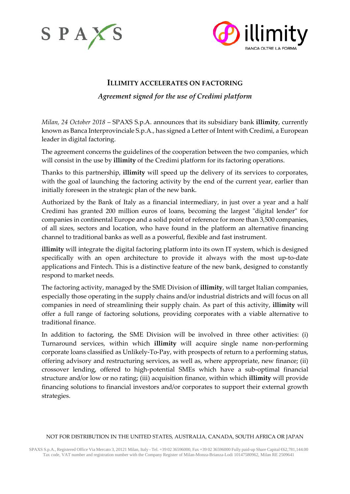



# **ILLIMITY ACCELERATES ON FACTORING**

# *Agreement signed for the use of Credimi platform*

*Milan, 24 October 2018* – SPAXS S.p.A. announces that its subsidiary bank **illimity**, currently known as Banca Interprovinciale S.p.A., has signed a Letter of Intent with Credimi, a European leader in digital factoring.

The agreement concerns the guidelines of the cooperation between the two companies, which will consist in the use by **illimity** of the Credimi platform for its factoring operations.

Thanks to this partnership, **illimity** will speed up the delivery of its services to corporates, with the goal of launching the factoring activity by the end of the current year, earlier than initially foreseen in the strategic plan of the new bank.

Authorized by the Bank of Italy as a financial intermediary, in just over a year and a half Credimi has granted 200 million euros of loans, becoming the largest "digital lender" for companies in continental Europe and a solid point of reference for more than 3,500 companies, of all sizes, sectors and location, who have found in the platform an alternative financing channel to traditional banks as well as a powerful, flexible and fast instrument.

**illimity** will integrate the digital factoring platform into its own IT system, which is designed specifically with an open architecture to provide it always with the most up-to-date applications and Fintech. This is a distinctive feature of the new bank, designed to constantly respond to market needs.

The factoring activity, managed by the SME Division of **illimity**, will target Italian companies, especially those operating in the supply chains and/or industrial districts and will focus on all companies in need of streamlining their supply chain. As part of this activity, **illimity** will offer a full range of factoring solutions, providing corporates with a viable alternative to traditional finance.

In addition to factoring, the SME Division will be involved in three other activities: (i) Turnaround services, within which **illimity** will acquire single name non-performing corporate loans classified as Unlikely-To-Pay, with prospects of return to a performing status, offering advisory and restructuring services, as well as, where appropriate, new finance; (ii) crossover lending, offered to high-potential SMEs which have a sub-optimal financial structure and/or low or no rating; (iii) acquisition finance, within which **illimity** will provide financing solutions to financial investors and/or corporates to support their external growth strategies.

### NOT FOR DISTRIBUTION IN THE UNITED STATES, AUSTRALIA, CANADA, SOUTH AFRICA OR JAPAN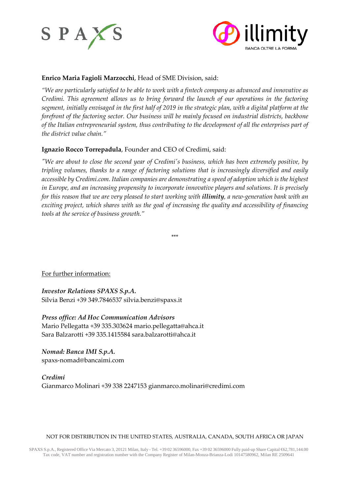



# **Enrico Maria Fagioli Marzocchi**, Head of SME Division, said:

*"We are particularly satisfied to be able to work with a fintech company as advanced and innovative as Credimi. This agreement allows us to bring forward the launch of our operations in the factoring segment, initially envisaged in the first half of 2019 in the strategic plan, with a digital platform at the forefront of the factoring sector. Our business will be mainly focused on industrial districts, backbone of the Italian entrepreneurial system, thus contributing to the development of all the enterprises part of the district value chain."*

## **Ignazio Rocco Torrepadula**, Founder and CEO of Credimi, said:

*"We are about to close the second year of Credimi's business, which has been extremely positive, by tripling volumes, thanks to a range of factoring solutions that is increasingly diversified and easily accessible by Credimi.com. Italian companies are demonstrating a speed of adoption which is the highest in Europe, and an increasing propensity to incorporate innovative players and solutions. It is precisely for this reason that we are very pleased to start working with illimity, a new-generation bank with an exciting project, which shares with us the goal of increasing the quality and accessibility of financing tools at the service of business growth."*

\*\*\*

For further information:

*Investor Relations SPAXS S.p.A.* Silvia Benzi +39 349.7846537 [silvia.benzi@spaxs.it](mailto:silvia.benzi@spaxs.it)

*Press office: Ad Hoc Communication Advisors* Mario Pellegatta +39 335.303624 [mario.pellegatta@ahca.it](mailto:mario.pellegatta@ahca.it) Sara Balzarotti +39 335.1415584 [sara.balzarotti@ahca.it](mailto:sara.balzarotti@ahca.it)

*Nomad: Banca IMI S.p.A.* spaxs-nomad@bancaimi.com

*Credimi* Gianmarco Molinari +39 338 2247153 gianmarco.molinari@credimi.com

### NOT FOR DISTRIBUTION IN THE UNITED STATES, AUSTRALIA, CANADA, SOUTH AFRICA OR JAPAN

SPAXS S.p.A., Registered Office Via Mercato 3, 20121 Milan, Italy - Tel. +39 02 36596000, Fax +39 02 36596000 Fully paid-up Share Capital €62,781,144.00 Tax code, VAT number and registration number with the Company Register of Milan-Monza-Brianza-Lodi 10147580962, Milan RE 2509641